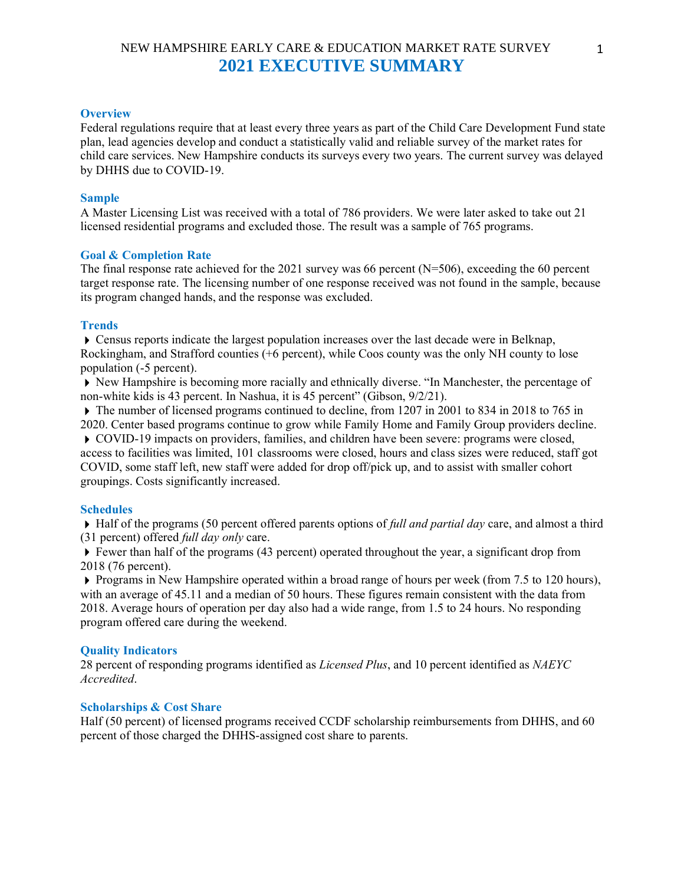# NEW HAMPSHIRE EARLY CARE & EDUCATION MARKET RATE SURVEY **2021 EXECUTIVE SUMMARY**

## **Overview**

Federal regulations require that at least every three years as part of the Child Care Development Fund state plan, lead agencies develop and conduct a statistically valid and reliable survey of the market rates for child care services. New Hampshire conducts its surveys every two years. The current survey was delayed by DHHS due to COVID-19.

## **Sample**

A Master Licensing List was received with a total of 786 providers. We were later asked to take out 21 licensed residential programs and excluded those. The result was a sample of 765 programs.

#### **Goal & Completion Rate**

The final response rate achieved for the 2021 survey was 66 percent (N=506), exceeding the 60 percent target response rate. The licensing number of one response received was not found in the sample, because its program changed hands, and the response was excluded.

## **Trends**

Census reports indicate the largest population increases over the last decade were in Belknap, Rockingham, and Strafford counties (+6 percent), while Coos county was the only NH county to lose population (-5 percent).

New Hampshire is becoming more racially and ethnically diverse. "In Manchester, the percentage of non-white kids is 43 percent. In Nashua, it is 45 percent" (Gibson, 9/2/21).

The number of licensed programs continued to decline, from 1207 in 2001 to 834 in 2018 to 765 in 2020. Center based programs continue to grow while Family Home and Family Group providers decline.

COVID-19 impacts on providers, families, and children have been severe: programs were closed, access to facilities was limited, 101 classrooms were closed, hours and class sizes were reduced, staff got COVID, some staff left, new staff were added for drop off/pick up, and to assist with smaller cohort groupings. Costs significantly increased.

## **Schedules**

Half of the programs (50 percent offered parents options of *full and partial day* care, and almost a third (31 percent) offered *full day only* care.

 $\blacktriangleright$  Fewer than half of the programs (43 percent) operated throughout the year, a significant drop from 2018 (76 percent).

 $\triangleright$  Programs in New Hampshire operated within a broad range of hours per week (from 7.5 to 120 hours), with an average of 45.11 and a median of 50 hours. These figures remain consistent with the data from 2018. Average hours of operation per day also had a wide range, from 1.5 to 24 hours. No responding program offered care during the weekend.

#### **Quality Indicators**

28 percent of responding programs identified as *Licensed Plus*, and 10 percent identified as *NAEYC Accredited*.

## **Scholarships & Cost Share**

Half (50 percent) of licensed programs received CCDF scholarship reimbursements from DHHS, and 60 percent of those charged the DHHS-assigned cost share to parents.